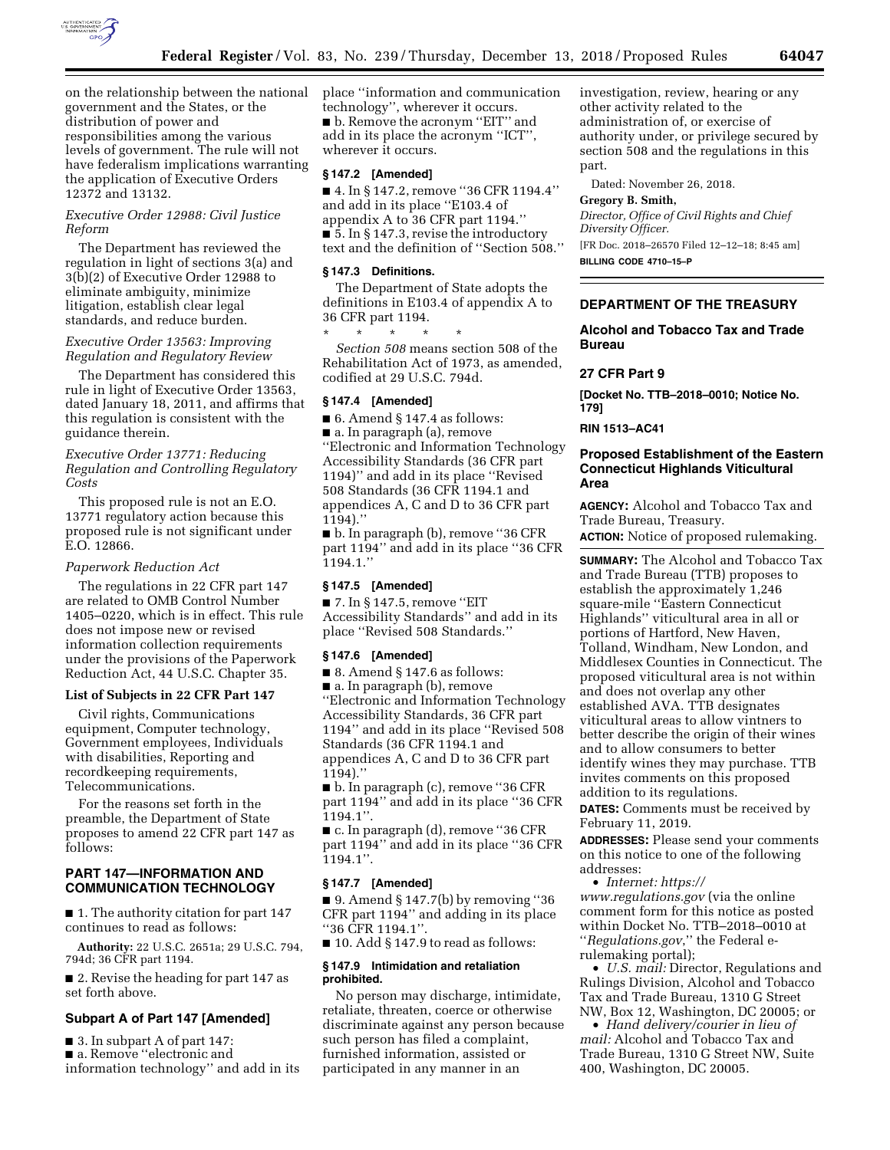

on the relationship between the national government and the States, or the distribution of power and responsibilities among the various levels of government. The rule will not have federalism implications warranting the application of Executive Orders 12372 and 13132.

# *Executive Order 12988: Civil Justice Reform*

The Department has reviewed the regulation in light of sections 3(a) and 3(b)(2) of Executive Order 12988 to eliminate ambiguity, minimize litigation, establish clear legal standards, and reduce burden.

# *Executive Order 13563: Improving Regulation and Regulatory Review*

The Department has considered this rule in light of Executive Order 13563, dated January 18, 2011, and affirms that this regulation is consistent with the guidance therein.

*Executive Order 13771: Reducing Regulation and Controlling Regulatory Costs* 

This proposed rule is not an E.O. 13771 regulatory action because this proposed rule is not significant under E.O. 12866.

## *Paperwork Reduction Act*

The regulations in 22 CFR part 147 are related to OMB Control Number 1405–0220, which is in effect. This rule does not impose new or revised information collection requirements under the provisions of the Paperwork Reduction Act, 44 U.S.C. Chapter 35.

# **List of Subjects in 22 CFR Part 147**

Civil rights, Communications equipment, Computer technology, Government employees, Individuals with disabilities, Reporting and recordkeeping requirements, Telecommunications.

For the reasons set forth in the preamble, the Department of State proposes to amend 22 CFR part 147 as follows:

# **PART 147—INFORMATION AND COMMUNICATION TECHNOLOGY**

■ 1. The authority citation for part 147 continues to read as follows:

**Authority:** 22 U.S.C. 2651a; 29 U.S.C. 794, 794d; 36 CFR part 1194.

■ 2. Revise the heading for part 147 as set forth above.

### **Subpart A of Part 147 [Amended]**

■ 3. In subpart A of part 147: ■ a. Remove "electronic and information technology'' and add in its place ''information and communication technology'', wherever it occurs. ■ b. Remove the acronym "EIT" and add in its place the acronym ''ICT'', wherever it occurs.

# **§ 147.2 [Amended]**

■ 4. In § 147.2, remove "36 CFR 1194.4" and add in its place ''E103.4 of appendix A to 36 CFR part 1194.'' ■ 5. In § 147.3, revise the introductory text and the definition of ''Section 508.''

### **§ 147.3 Definitions.**

The Department of State adopts the definitions in E103.4 of appendix A to 36 CFR part 1194.

\* \* \* \* \* *Section 508* means section 508 of the Rehabilitation Act of 1973, as amended, codified at 29 U.S.C. 794d.

### **§ 147.4 [Amended]**

 $\blacksquare$  6. Amend § 147.4 as follows:

■ a. In paragraph (a), remove ''Electronic and Information Technology Accessibility Standards (36 CFR part 1194)'' and add in its place ''Revised 508 Standards (36 CFR 1194.1 and appendices A, C and D to 36 CFR part 1194).''

■ b. In paragraph (b), remove ''36 CFR part 1194'' and add in its place ''36 CFR 1194.1.''

#### **§ 147.5 [Amended]**

■ 7. In § 147.5, remove "EIT Accessibility Standards'' and add in its place ''Revised 508 Standards.''

#### **§ 147.6 [Amended]**

■ 8. Amend § 147.6 as follows:

■ a. In paragraph (b), remove ''Electronic and Information Technology Accessibility Standards, 36 CFR part 1194'' and add in its place ''Revised 508 Standards (36 CFR 1194.1 and appendices A, C and D to 36 CFR part 1194).''

■ b. In paragraph (c), remove ''36 CFR part 1194'' and add in its place ''36 CFR 1194.1''.

■ c. In paragraph (d), remove ''36 CFR part 1194'' and add in its place ''36 CFR 1194.1''.

#### **§ 147.7 [Amended]**

■ 9. Amend § 147.7(b) by removing "36 CFR part 1194'' and adding in its place ''36 CFR 1194.1''.

 $\blacksquare$  10. Add § 147.9 to read as follows:

### **§ 147.9 Intimidation and retaliation prohibited.**

No person may discharge, intimidate, retaliate, threaten, coerce or otherwise discriminate against any person because such person has filed a complaint, furnished information, assisted or participated in any manner in an

investigation, review, hearing or any other activity related to the administration of, or exercise of authority under, or privilege secured by section 508 and the regulations in this part.

Dated: November 26, 2018.

# **Gregory B. Smith,**

*Director, Office of Civil Rights and Chief Diversity Officer.*  [FR Doc. 2018–26570 Filed 12–12–18; 8:45 am] **BILLING CODE 4710–15–P** 

# **DEPARTMENT OF THE TREASURY**

# **Alcohol and Tobacco Tax and Trade Bureau**

# **27 CFR Part 9**

**[Docket No. TTB–2018–0010; Notice No. 179]** 

### **RIN 1513–AC41**

## **Proposed Establishment of the Eastern Connecticut Highlands Viticultural Area**

**AGENCY:** Alcohol and Tobacco Tax and Trade Bureau, Treasury.

**ACTION:** Notice of proposed rulemaking.

**SUMMARY:** The Alcohol and Tobacco Tax and Trade Bureau (TTB) proposes to establish the approximately 1,246 square-mile ''Eastern Connecticut Highlands'' viticultural area in all or portions of Hartford, New Haven, Tolland, Windham, New London, and Middlesex Counties in Connecticut. The proposed viticultural area is not within and does not overlap any other established AVA. TTB designates viticultural areas to allow vintners to better describe the origin of their wines and to allow consumers to better identify wines they may purchase. TTB invites comments on this proposed addition to its regulations.

**DATES:** Comments must be received by February 11, 2019.

**ADDRESSES:** Please send your comments on this notice to one of the following addresses:

• *Internet: [https://](https://www.regulations.gov) [www.regulations.gov](https://www.regulations.gov)* (via the online comment form for this notice as posted within Docket No. TTB–2018–0010 at ''*Regulations.gov*,'' the Federal erulemaking portal);

• *U.S. mail:* Director, Regulations and Rulings Division, Alcohol and Tobacco Tax and Trade Bureau, 1310 G Street NW, Box 12, Washington, DC 20005; or

• *Hand delivery/courier in lieu of mail:* Alcohol and Tobacco Tax and Trade Bureau, 1310 G Street NW, Suite 400, Washington, DC 20005.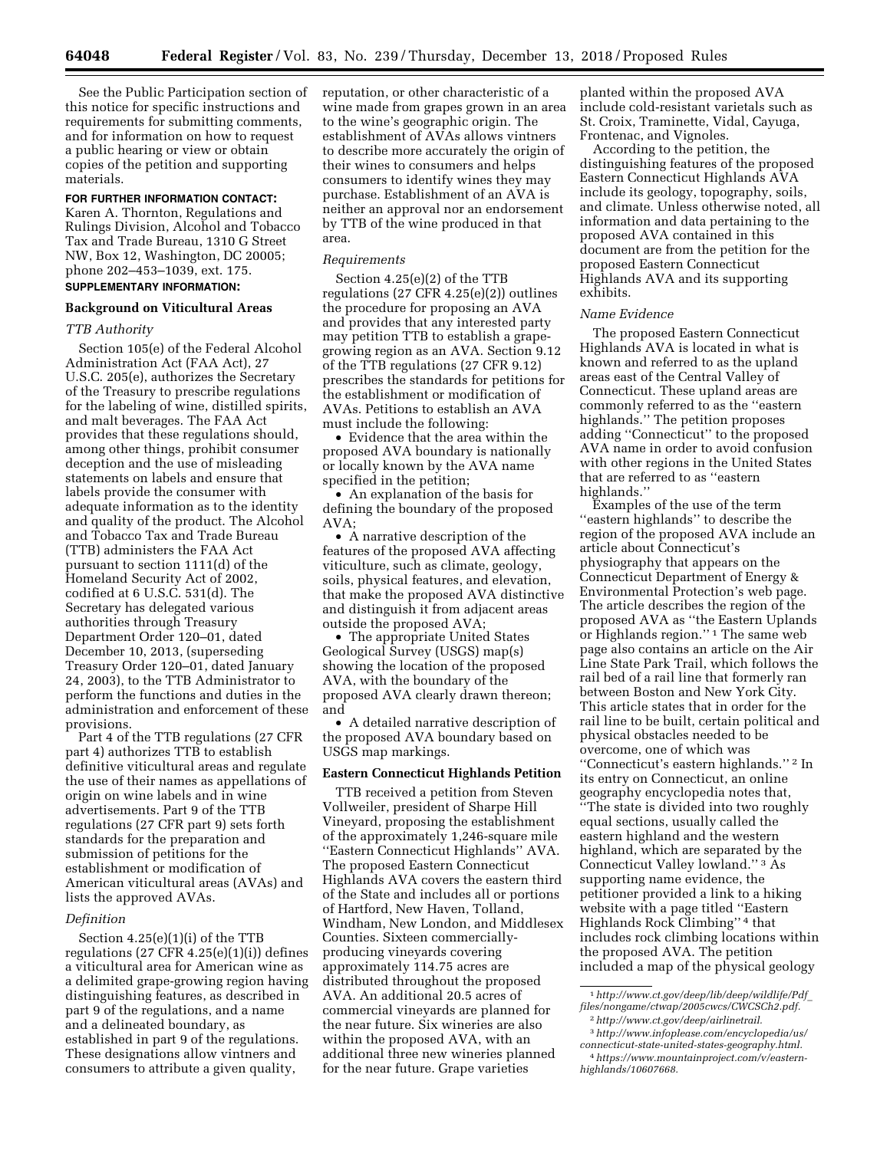See the Public Participation section of this notice for specific instructions and requirements for submitting comments, and for information on how to request a public hearing or view or obtain copies of the petition and supporting materials.

# **FOR FURTHER INFORMATION CONTACT:**

Karen A. Thornton, Regulations and Rulings Division, Alcohol and Tobacco Tax and Trade Bureau, 1310 G Street NW, Box 12, Washington, DC 20005; phone 202–453–1039, ext. 175. **SUPPLEMENTARY INFORMATION:** 

# **Background on Viticultural Areas**

#### *TTB Authority*

Section 105(e) of the Federal Alcohol Administration Act (FAA Act), 27 U.S.C. 205(e), authorizes the Secretary of the Treasury to prescribe regulations for the labeling of wine, distilled spirits, and malt beverages. The FAA Act provides that these regulations should, among other things, prohibit consumer deception and the use of misleading statements on labels and ensure that labels provide the consumer with adequate information as to the identity and quality of the product. The Alcohol and Tobacco Tax and Trade Bureau (TTB) administers the FAA Act pursuant to section 1111(d) of the Homeland Security Act of 2002, codified at 6 U.S.C. 531(d). The Secretary has delegated various authorities through Treasury Department Order 120–01, dated December 10, 2013, (superseding Treasury Order 120–01, dated January 24, 2003), to the TTB Administrator to perform the functions and duties in the administration and enforcement of these provisions.

Part 4 of the TTB regulations (27 CFR part 4) authorizes TTB to establish definitive viticultural areas and regulate the use of their names as appellations of origin on wine labels and in wine advertisements. Part 9 of the TTB regulations (27 CFR part 9) sets forth standards for the preparation and submission of petitions for the establishment or modification of American viticultural areas (AVAs) and lists the approved AVAs.

# *Definition*

Section 4.25(e)(1)(i) of the TTB regulations  $(27 \text{ CFR } 4.25(e)(1)(i))$  defines a viticultural area for American wine as a delimited grape-growing region having distinguishing features, as described in part 9 of the regulations, and a name and a delineated boundary, as established in part 9 of the regulations. These designations allow vintners and consumers to attribute a given quality,

reputation, or other characteristic of a wine made from grapes grown in an area to the wine's geographic origin. The establishment of AVAs allows vintners to describe more accurately the origin of their wines to consumers and helps consumers to identify wines they may purchase. Establishment of an AVA is neither an approval nor an endorsement by TTB of the wine produced in that area.

#### *Requirements*

Section 4.25(e)(2) of the TTB regulations (27 CFR 4.25(e)(2)) outlines the procedure for proposing an AVA and provides that any interested party may petition TTB to establish a grapegrowing region as an AVA. Section 9.12 of the TTB regulations (27 CFR 9.12) prescribes the standards for petitions for the establishment or modification of AVAs. Petitions to establish an AVA must include the following:

• Evidence that the area within the proposed AVA boundary is nationally or locally known by the AVA name specified in the petition;

• An explanation of the basis for defining the boundary of the proposed AVA;

• A narrative description of the features of the proposed AVA affecting viticulture, such as climate, geology, soils, physical features, and elevation, that make the proposed AVA distinctive and distinguish it from adjacent areas outside the proposed AVA;

• The appropriate United States Geological Survey (USGS) map(s) showing the location of the proposed AVA, with the boundary of the proposed AVA clearly drawn thereon; and

• A detailed narrative description of the proposed AVA boundary based on USGS map markings.

# **Eastern Connecticut Highlands Petition**

TTB received a petition from Steven Vollweiler, president of Sharpe Hill Vineyard, proposing the establishment of the approximately 1,246-square mile ''Eastern Connecticut Highlands'' AVA. The proposed Eastern Connecticut Highlands AVA covers the eastern third of the State and includes all or portions of Hartford, New Haven, Tolland, Windham, New London, and Middlesex Counties. Sixteen commerciallyproducing vineyards covering approximately 114.75 acres are distributed throughout the proposed AVA. An additional 20.5 acres of commercial vineyards are planned for the near future. Six wineries are also within the proposed AVA, with an additional three new wineries planned for the near future. Grape varieties

planted within the proposed AVA include cold-resistant varietals such as St. Croix, Traminette, Vidal, Cayuga, Frontenac, and Vignoles.

According to the petition, the distinguishing features of the proposed Eastern Connecticut Highlands AVA include its geology, topography, soils, and climate. Unless otherwise noted, all information and data pertaining to the proposed AVA contained in this document are from the petition for the proposed Eastern Connecticut Highlands AVA and its supporting exhibits.

### *Name Evidence*

The proposed Eastern Connecticut Highlands AVA is located in what is known and referred to as the upland areas east of the Central Valley of Connecticut. These upland areas are commonly referred to as the ''eastern highlands.'' The petition proposes adding ''Connecticut'' to the proposed AVA name in order to avoid confusion with other regions in the United States that are referred to as ''eastern highlands.''

Examples of the use of the term ''eastern highlands'' to describe the region of the proposed AVA include an article about Connecticut's physiography that appears on the Connecticut Department of Energy & Environmental Protection's web page. The article describes the region of the proposed AVA as ''the Eastern Uplands or Highlands region."<sup>1</sup> The same web page also contains an article on the Air Line State Park Trail, which follows the rail bed of a rail line that formerly ran between Boston and New York City. This article states that in order for the rail line to be built, certain political and physical obstacles needed to be overcome, one of which was ''Connecticut's eastern highlands.'' 2 In its entry on Connecticut, an online geography encyclopedia notes that, ''The state is divided into two roughly equal sections, usually called the eastern highland and the western highland, which are separated by the Connecticut Valley lowland.'' 3 As supporting name evidence, the petitioner provided a link to a hiking website with a page titled ''Eastern Highlands Rock Climbing'' 4 that includes rock climbing locations within the proposed AVA. The petition included a map of the physical geology

<sup>1</sup>*[http://www.ct.gov/deep/lib/deep/wildlife/Pdf](http://www.ct.gov/deep/lib/deep/wildlife/Pdf_files/nongame/ctwap/2005cwcs/CWCSCh2.pdf)*\_ *[files/nongame/ctwap/2005cwcs/CWCSCh2.pdf.](http://www.ct.gov/deep/lib/deep/wildlife/Pdf_files/nongame/ctwap/2005cwcs/CWCSCh2.pdf)* 

<sup>2</sup>*[http://www.ct.gov/deep/airlinetrail.](http://www.ct.gov/deep/airlinetrail)*  3*[http://www.infoplease.com/encyclopedia/us/](http://www.infoplease.com/encyclopedia/us/connecticut-state-united-states-geography.html)* 

*[connecticut-state-united-states-geography.html.](http://www.infoplease.com/encyclopedia/us/connecticut-state-united-states-geography.html)*  4*[https://www.mountainproject.com/v/eastern](https://www.mountainproject.com/v/eastern-highlands/10607668)[highlands/10607668.](https://www.mountainproject.com/v/eastern-highlands/10607668)*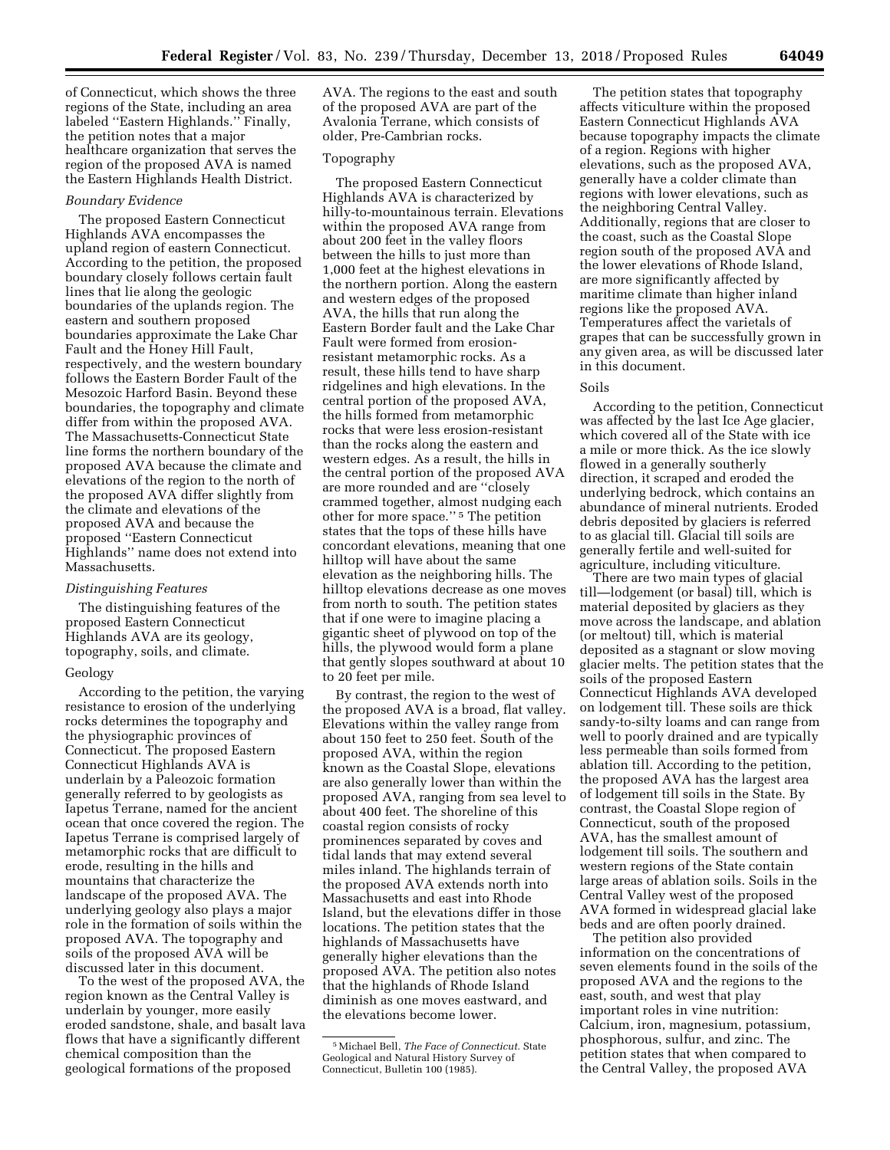of Connecticut, which shows the three regions of the State, including an area labeled ''Eastern Highlands.'' Finally, the petition notes that a major healthcare organization that serves the region of the proposed AVA is named the Eastern Highlands Health District.

# *Boundary Evidence*

The proposed Eastern Connecticut Highlands AVA encompasses the upland region of eastern Connecticut. According to the petition, the proposed boundary closely follows certain fault lines that lie along the geologic boundaries of the uplands region. The eastern and southern proposed boundaries approximate the Lake Char Fault and the Honey Hill Fault, respectively, and the western boundary follows the Eastern Border Fault of the Mesozoic Harford Basin. Beyond these boundaries, the topography and climate differ from within the proposed AVA. The Massachusetts-Connecticut State line forms the northern boundary of the proposed AVA because the climate and elevations of the region to the north of the proposed AVA differ slightly from the climate and elevations of the proposed AVA and because the proposed ''Eastern Connecticut Highlands'' name does not extend into Massachusetts.

# *Distinguishing Features*

The distinguishing features of the proposed Eastern Connecticut Highlands AVA are its geology, topography, soils, and climate.

#### Geology

According to the petition, the varying resistance to erosion of the underlying rocks determines the topography and the physiographic provinces of Connecticut. The proposed Eastern Connecticut Highlands AVA is underlain by a Paleozoic formation generally referred to by geologists as Iapetus Terrane, named for the ancient ocean that once covered the region. The Iapetus Terrane is comprised largely of metamorphic rocks that are difficult to erode, resulting in the hills and mountains that characterize the landscape of the proposed AVA. The underlying geology also plays a major role in the formation of soils within the proposed AVA. The topography and soils of the proposed AVA will be discussed later in this document.

To the west of the proposed AVA, the region known as the Central Valley is underlain by younger, more easily eroded sandstone, shale, and basalt lava flows that have a significantly different chemical composition than the geological formations of the proposed

AVA. The regions to the east and south of the proposed AVA are part of the Avalonia Terrane, which consists of older, Pre-Cambrian rocks.

#### Topography

The proposed Eastern Connecticut Highlands AVA is characterized by hilly-to-mountainous terrain. Elevations within the proposed AVA range from about 200 feet in the valley floors between the hills to just more than 1,000 feet at the highest elevations in the northern portion. Along the eastern and western edges of the proposed AVA, the hills that run along the Eastern Border fault and the Lake Char Fault were formed from erosionresistant metamorphic rocks. As a result, these hills tend to have sharp ridgelines and high elevations. In the central portion of the proposed AVA, the hills formed from metamorphic rocks that were less erosion-resistant than the rocks along the eastern and western edges. As a result, the hills in the central portion of the proposed AVA are more rounded and are ''closely crammed together, almost nudging each other for more space.'' 5 The petition states that the tops of these hills have concordant elevations, meaning that one hilltop will have about the same elevation as the neighboring hills. The hilltop elevations decrease as one moves from north to south. The petition states that if one were to imagine placing a gigantic sheet of plywood on top of the hills, the plywood would form a plane that gently slopes southward at about 10 to 20 feet per mile.

By contrast, the region to the west of the proposed AVA is a broad, flat valley. Elevations within the valley range from about 150 feet to 250 feet. South of the proposed AVA, within the region known as the Coastal Slope, elevations are also generally lower than within the proposed AVA, ranging from sea level to about 400 feet. The shoreline of this coastal region consists of rocky prominences separated by coves and tidal lands that may extend several miles inland. The highlands terrain of the proposed AVA extends north into Massachusetts and east into Rhode Island, but the elevations differ in those locations. The petition states that the highlands of Massachusetts have generally higher elevations than the proposed AVA. The petition also notes that the highlands of Rhode Island diminish as one moves eastward, and the elevations become lower.

The petition states that topography affects viticulture within the proposed Eastern Connecticut Highlands AVA because topography impacts the climate of a region. Regions with higher elevations, such as the proposed AVA, generally have a colder climate than regions with lower elevations, such as the neighboring Central Valley. Additionally, regions that are closer to the coast, such as the Coastal Slope region south of the proposed AVA and the lower elevations of Rhode Island, are more significantly affected by maritime climate than higher inland regions like the proposed AVA. Temperatures affect the varietals of grapes that can be successfully grown in any given area, as will be discussed later in this document.

### Soils

According to the petition, Connecticut was affected by the last Ice Age glacier, which covered all of the State with ice a mile or more thick. As the ice slowly flowed in a generally southerly direction, it scraped and eroded the underlying bedrock, which contains an abundance of mineral nutrients. Eroded debris deposited by glaciers is referred to as glacial till. Glacial till soils are generally fertile and well-suited for agriculture, including viticulture.

There are two main types of glacial till—lodgement (or basal) till, which is material deposited by glaciers as they move across the landscape, and ablation (or meltout) till, which is material deposited as a stagnant or slow moving glacier melts. The petition states that the soils of the proposed Eastern Connecticut Highlands AVA developed on lodgement till. These soils are thick sandy-to-silty loams and can range from well to poorly drained and are typically less permeable than soils formed from ablation till. According to the petition, the proposed AVA has the largest area of lodgement till soils in the State. By contrast, the Coastal Slope region of Connecticut, south of the proposed AVA, has the smallest amount of lodgement till soils. The southern and western regions of the State contain large areas of ablation soils. Soils in the Central Valley west of the proposed AVA formed in widespread glacial lake beds and are often poorly drained.

The petition also provided information on the concentrations of seven elements found in the soils of the proposed AVA and the regions to the east, south, and west that play important roles in vine nutrition: Calcium, iron, magnesium, potassium, phosphorous, sulfur, and zinc. The petition states that when compared to the Central Valley, the proposed AVA

<sup>5</sup>Michael Bell, *The Face of Connecticut.* State Geological and Natural History Survey of Connecticut, Bulletin 100 (1985).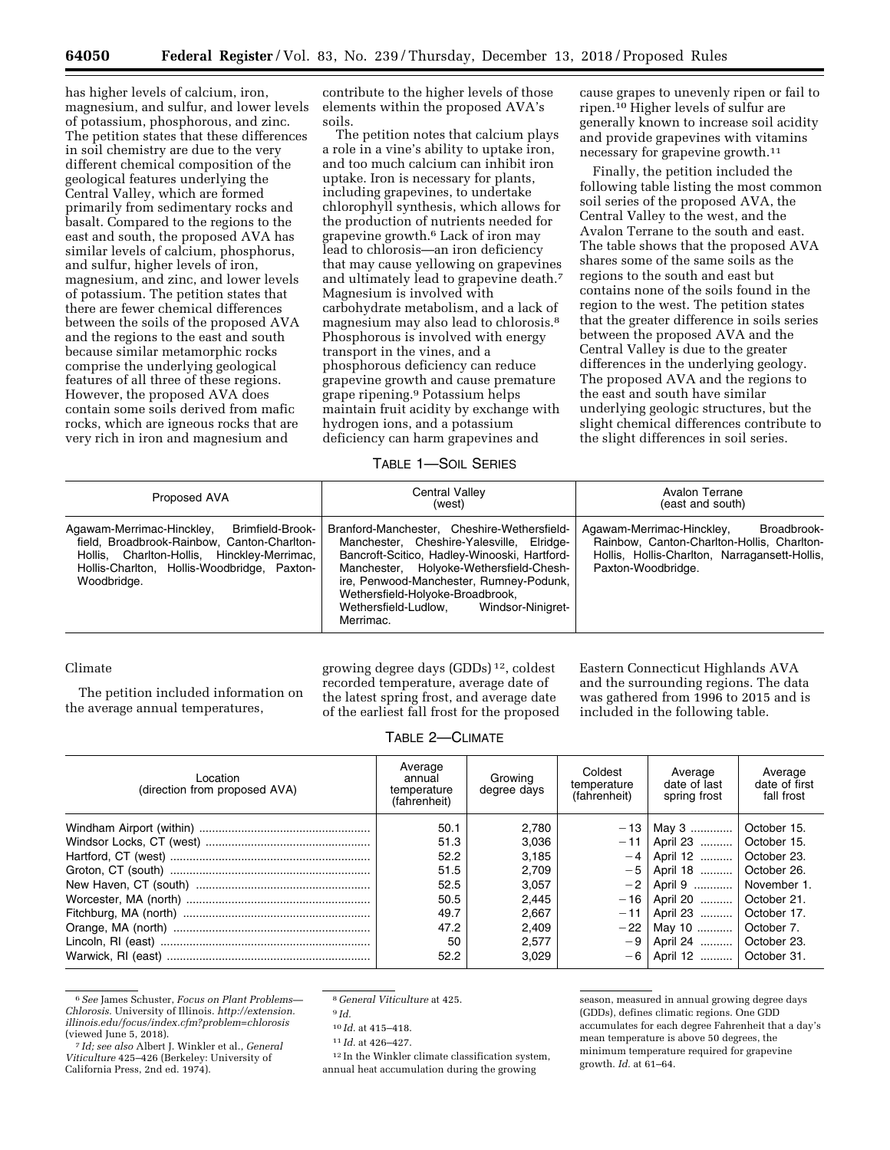has higher levels of calcium, iron, magnesium, and sulfur, and lower levels of potassium, phosphorous, and zinc. The petition states that these differences in soil chemistry are due to the very different chemical composition of the geological features underlying the Central Valley, which are formed primarily from sedimentary rocks and basalt. Compared to the regions to the east and south, the proposed AVA has similar levels of calcium, phosphorus, and sulfur, higher levels of iron, magnesium, and zinc, and lower levels of potassium. The petition states that there are fewer chemical differences between the soils of the proposed AVA and the regions to the east and south because similar metamorphic rocks comprise the underlying geological features of all three of these regions. However, the proposed AVA does contain some soils derived from mafic rocks, which are igneous rocks that are very rich in iron and magnesium and

contribute to the higher levels of those elements within the proposed AVA's soils.

The petition notes that calcium plays a role in a vine's ability to uptake iron, and too much calcium can inhibit iron uptake. Iron is necessary for plants, including grapevines, to undertake chlorophyll synthesis, which allows for the production of nutrients needed for grapevine growth.6 Lack of iron may lead to chlorosis—an iron deficiency that may cause yellowing on grapevines and ultimately lead to grapevine death.7 Magnesium is involved with carbohydrate metabolism, and a lack of magnesium may also lead to chlorosis.8 Phosphorous is involved with energy transport in the vines, and a phosphorous deficiency can reduce grapevine growth and cause premature grape ripening.9 Potassium helps maintain fruit acidity by exchange with hydrogen ions, and a potassium deficiency can harm grapevines and

cause grapes to unevenly ripen or fail to ripen.10 Higher levels of sulfur are generally known to increase soil acidity and provide grapevines with vitamins necessary for grapevine growth.11

Finally, the petition included the following table listing the most common soil series of the proposed AVA, the Central Valley to the west, and the Avalon Terrane to the south and east. The table shows that the proposed AVA shares some of the same soils as the regions to the south and east but contains none of the soils found in the region to the west. The petition states that the greater difference in soils series between the proposed AVA and the Central Valley is due to the greater differences in the underlying geology. The proposed AVA and the regions to the east and south have similar underlying geologic structures, but the slight chemical differences contribute to the slight differences in soil series.

## TABLE 1—SOIL SERIES

| Proposed AVA                                                                                                                                                                                              | <b>Central Valley</b><br>(west)                                                                                                                                                                                                                                                                                              | Avalon Terrane<br>(east and south)                                                                                                                            |  |  |
|-----------------------------------------------------------------------------------------------------------------------------------------------------------------------------------------------------------|------------------------------------------------------------------------------------------------------------------------------------------------------------------------------------------------------------------------------------------------------------------------------------------------------------------------------|---------------------------------------------------------------------------------------------------------------------------------------------------------------|--|--|
| Brimfield-Brook-<br>Agawam-Merrimac-Hinckley,<br>field, Broadbrook-Rainbow, Canton-Charlton-<br>Hollis, Charlton-Hollis, Hinckley-Merrimac,<br>Hollis-Charlton, Hollis-Woodbridge, Paxton-<br>Woodbridge. | Branford-Manchester. Cheshire-Wethersfield-<br>Manchester, Cheshire-Yalesville, Elridge-<br>Bancroft-Scitico, Hadley-Winooski, Hartford-<br>Manchester, Holyoke-Wethersfield-Chesh-<br>ire, Penwood-Manchester, Rumney-Podunk,<br>Wethersfield-Holyoke-Broadbrook,<br>Wethersfield-Ludlow.<br>Windsor-Ninigret-<br>Merrimac. | Agawam-Merrimac-Hinckley,<br>Broadbrook-<br>Rainbow, Canton-Charlton-Hollis, Charlton-<br>Hollis, Hollis-Charlton, Narragansett-Hollis,<br>Paxton-Woodbridge. |  |  |

# Climate

The petition included information on the average annual temperatures,

growing degree days (GDDs) 12, coldest recorded temperature, average date of the latest spring frost, and average date of the earliest fall frost for the proposed Eastern Connecticut Highlands AVA and the surrounding regions. The data was gathered from 1996 to 2015 and is included in the following table.

# TABLE 2—CLIMATE

| Location<br>(direction from proposed AVA) | Average<br>annual<br>temperature<br>(fahrenheit) | Growing<br>degree days | Coldest<br>temperature<br>(fahrenheit) | Average<br>date of last<br>spring frost | Average<br>date of first<br>fall frost |
|-------------------------------------------|--------------------------------------------------|------------------------|----------------------------------------|-----------------------------------------|----------------------------------------|
|                                           | 50.1                                             | 2.780                  |                                        | $-13$   May 3                           | October 15.                            |
|                                           | 51.3                                             | 3,036                  | $-11$                                  | April 23                                | October 15.                            |
|                                           | 52.2                                             | 3,185                  | $-4$ <sup>1</sup>                      | April 12                                | October 23.                            |
|                                           | 51.5                                             | 2,709                  | $-5$                                   | April 18                                | October 26.                            |
|                                           | 52.5                                             | 3,057                  | $-2$                                   | April 9                                 | November 1.                            |
|                                           | 50.5                                             | 2,445                  |                                        | $-16$   April 20                        | October 21.                            |
|                                           | 49.7                                             | 2,667                  | $-11$                                  | April 23                                | October 17.                            |
|                                           | 47.2                                             | 2.409                  | $-22$                                  | May 10                                  | October 7.                             |
|                                           | 50                                               | 2,577                  | $-9$                                   | April 24                                | October 23.                            |
|                                           | 52.2                                             | 3,029                  | $-6$                                   | April 12                                | October 31.                            |

<sup>6</sup>*See* James Schuster, *Focus on Plant Problems— Chlorosis.* University of Illinois. *[http://extension.](http://extension.illinois.edu/focus/index.cfm?problem=chlorosis) [illinois.edu/focus/index.cfm?problem=chlorosis](http://extension.illinois.edu/focus/index.cfm?problem=chlorosis)* 

12 In the Winkler climate classification system, annual heat accumulation during the growing

season, measured in annual growing degree days (GDDs), defines climatic regions. One GDD accumulates for each degree Fahrenheit that a day's mean temperature is above 50 degrees, the minimum temperature required for grapevine growth. *Id.* at 61–64.

<sup>&</sup>lt;sup>7</sup> *Id; see also* Albert J. Winkler et al., *General Viticulture* 425–426 (Berkeley: University of California Press, 2nd ed. 1974).

<sup>8</sup> *General Viticulture* at 425.

<sup>9</sup> *Id.* 

<sup>10</sup> *Id.* at 415–418.

<sup>11</sup> *Id.* at 426–427.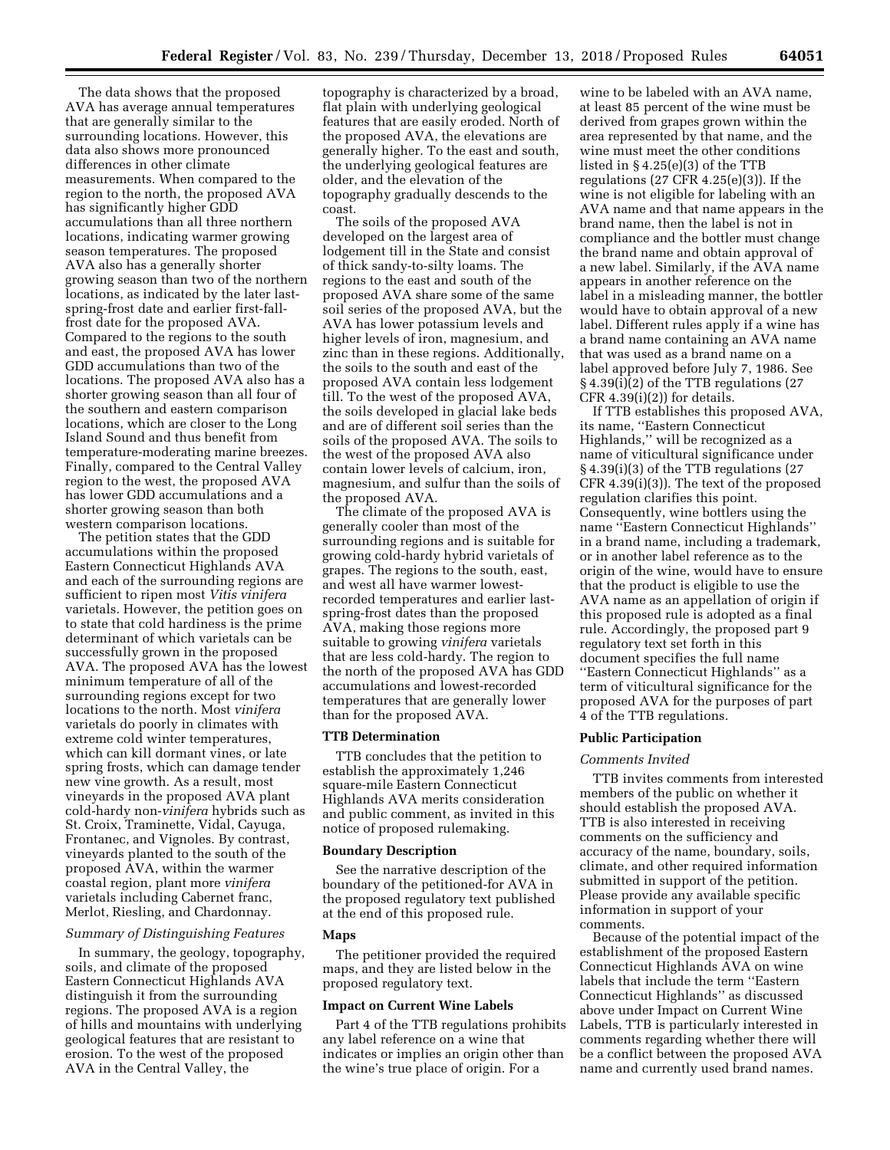The data shows that the proposed AVA has average annual temperatures that are generally similar to the surrounding locations. However, this data also shows more pronounced differences in other climate measurements. When compared to the region to the north, the proposed AVA has significantly higher GDD accumulations than all three northern locations, indicating warmer growing season temperatures. The proposed AVA also has a generally shorter growing season than two of the northern locations, as indicated by the later lastspring-frost date and earlier first-fallfrost date for the proposed AVA. Compared to the regions to the south and east, the proposed AVA has lower GDD accumulations than two of the locations. The proposed AVA also has a shorter growing season than all four of the southern and eastern comparison locations, which are closer to the Long Island Sound and thus benefit from temperature-moderating marine breezes. Finally, compared to the Central Valley region to the west, the proposed AVA has lower GDD accumulations and a shorter growing season than both western comparison locations.

The petition states that the GDD accumulations within the proposed Eastern Connecticut Highlands AVA and each of the surrounding regions are sufficient to ripen most *Vitis vinifera*  varietals. However, the petition goes on to state that cold hardiness is the prime determinant of which varietals can be successfully grown in the proposed AVA. The proposed AVA has the lowest minimum temperature of all of the surrounding regions except for two locations to the north. Most *vinifera*  varietals do poorly in climates with extreme cold winter temperatures, which can kill dormant vines, or late spring frosts, which can damage tender new vine growth. As a result, most vineyards in the proposed AVA plant cold-hardy non-*vinifera* hybrids such as St. Croix, Traminette, Vidal, Cayuga, Frontanec, and Vignoles. By contrast, vineyards planted to the south of the proposed AVA, within the warmer coastal region, plant more *vinifera*  varietals including Cabernet franc, Merlot, Riesling, and Chardonnay.

# *Summary of Distinguishing Features*

In summary, the geology, topography, soils, and climate of the proposed Eastern Connecticut Highlands AVA distinguish it from the surrounding regions. The proposed AVA is a region of hills and mountains with underlying geological features that are resistant to erosion. To the west of the proposed AVA in the Central Valley, the

topography is characterized by a broad, flat plain with underlying geological features that are easily eroded. North of the proposed AVA, the elevations are generally higher. To the east and south, the underlying geological features are older, and the elevation of the topography gradually descends to the coast.

The soils of the proposed AVA developed on the largest area of lodgement till in the State and consist of thick sandy-to-silty loams. The regions to the east and south of the proposed AVA share some of the same soil series of the proposed AVA, but the AVA has lower potassium levels and higher levels of iron, magnesium, and zinc than in these regions. Additionally, the soils to the south and east of the proposed AVA contain less lodgement till. To the west of the proposed AVA, the soils developed in glacial lake beds and are of different soil series than the soils of the proposed AVA. The soils to the west of the proposed AVA also contain lower levels of calcium, iron, magnesium, and sulfur than the soils of the proposed AVA.

The climate of the proposed AVA is generally cooler than most of the surrounding regions and is suitable for growing cold-hardy hybrid varietals of grapes. The regions to the south, east, and west all have warmer lowestrecorded temperatures and earlier lastspring-frost dates than the proposed AVA, making those regions more suitable to growing *vinifera* varietals that are less cold-hardy. The region to the north of the proposed AVA has GDD accumulations and lowest-recorded temperatures that are generally lower than for the proposed AVA.

#### **TTB Determination**

TTB concludes that the petition to establish the approximately 1,246 square-mile Eastern Connecticut Highlands AVA merits consideration and public comment, as invited in this notice of proposed rulemaking.

### **Boundary Description**

See the narrative description of the boundary of the petitioned-for AVA in the proposed regulatory text published at the end of this proposed rule.

#### **Maps**

The petitioner provided the required maps, and they are listed below in the proposed regulatory text.

### **Impact on Current Wine Labels**

Part 4 of the TTB regulations prohibits any label reference on a wine that indicates or implies an origin other than the wine's true place of origin. For a

wine to be labeled with an AVA name, at least 85 percent of the wine must be derived from grapes grown within the area represented by that name, and the wine must meet the other conditions listed in § 4.25(e)(3) of the TTB regulations  $(27 \text{ CFR } 4.25(e)(3))$ . If the wine is not eligible for labeling with an AVA name and that name appears in the brand name, then the label is not in compliance and the bottler must change the brand name and obtain approval of a new label. Similarly, if the AVA name appears in another reference on the label in a misleading manner, the bottler would have to obtain approval of a new label. Different rules apply if a wine has a brand name containing an AVA name that was used as a brand name on a label approved before July 7, 1986. See § 4.39(i)(2) of the TTB regulations (27 CFR  $4.39(i)(2)$  for details.

If TTB establishes this proposed AVA, its name, ''Eastern Connecticut Highlands,'' will be recognized as a name of viticultural significance under § 4.39(i)(3) of the TTB regulations (27 CFR 4.39(i)(3)). The text of the proposed regulation clarifies this point. Consequently, wine bottlers using the name ''Eastern Connecticut Highlands'' in a brand name, including a trademark, or in another label reference as to the origin of the wine, would have to ensure that the product is eligible to use the AVA name as an appellation of origin if this proposed rule is adopted as a final rule. Accordingly, the proposed part 9 regulatory text set forth in this document specifies the full name ''Eastern Connecticut Highlands'' as a term of viticultural significance for the proposed AVA for the purposes of part 4 of the TTB regulations.

#### **Public Participation**

#### *Comments Invited*

TTB invites comments from interested members of the public on whether it should establish the proposed AVA. TTB is also interested in receiving comments on the sufficiency and accuracy of the name, boundary, soils, climate, and other required information submitted in support of the petition. Please provide any available specific information in support of your comments.

Because of the potential impact of the establishment of the proposed Eastern Connecticut Highlands AVA on wine labels that include the term ''Eastern Connecticut Highlands'' as discussed above under Impact on Current Wine Labels, TTB is particularly interested in comments regarding whether there will be a conflict between the proposed AVA name and currently used brand names.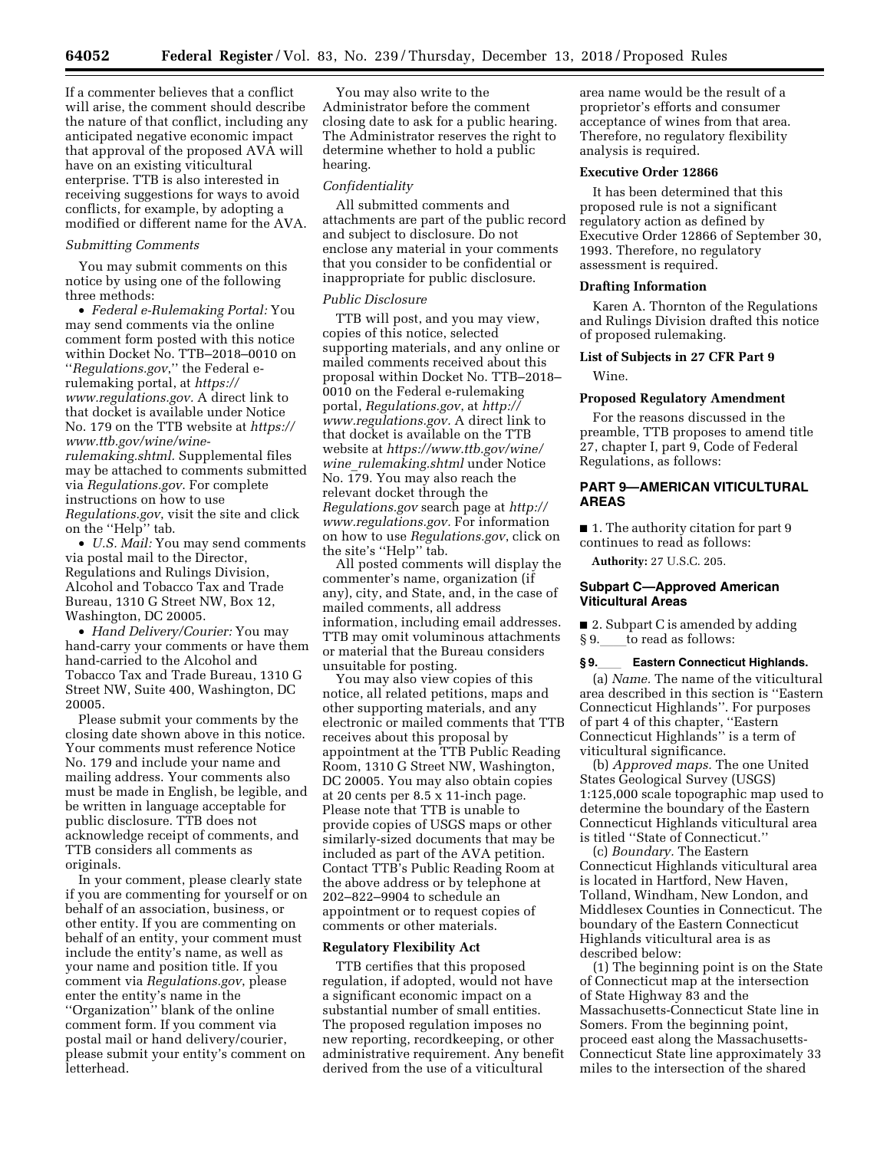If a commenter believes that a conflict will arise, the comment should describe the nature of that conflict, including any anticipated negative economic impact that approval of the proposed AVA will have on an existing viticultural enterprise. TTB is also interested in receiving suggestions for ways to avoid conflicts, for example, by adopting a modified or different name for the AVA.

# *Submitting Comments*

You may submit comments on this notice by using one of the following three methods:

• *Federal e-Rulemaking Portal:* You may send comments via the online comment form posted with this notice within Docket No. TTB–2018–0010 on ''*Regulations.gov*,'' the Federal erulemaking portal, at *[https://](https://www.regulations.gov) [www.regulations.gov.](https://www.regulations.gov)* A direct link to that docket is available under Notice No. 179 on the TTB website at *[https://](https://www.ttb.gov/wine/wine-rulemaking.shtml)  [www.ttb.gov/wine/wine](https://www.ttb.gov/wine/wine-rulemaking.shtml)[rulemaking.shtml.](https://www.ttb.gov/wine/wine-rulemaking.shtml)* Supplemental files may be attached to comments submitted via *Regulations.gov*. For complete instructions on how to use *Regulations.gov*, visit the site and click on the ''Help'' tab.

• *U.S. Mail:* You may send comments via postal mail to the Director, Regulations and Rulings Division, Alcohol and Tobacco Tax and Trade Bureau, 1310 G Street NW, Box 12, Washington, DC 20005.

• *Hand Delivery/Courier:* You may hand-carry your comments or have them hand-carried to the Alcohol and Tobacco Tax and Trade Bureau, 1310 G Street NW, Suite 400, Washington, DC 20005.

Please submit your comments by the closing date shown above in this notice. Your comments must reference Notice No. 179 and include your name and mailing address. Your comments also must be made in English, be legible, and be written in language acceptable for public disclosure. TTB does not acknowledge receipt of comments, and TTB considers all comments as originals.

In your comment, please clearly state if you are commenting for yourself or on behalf of an association, business, or other entity. If you are commenting on behalf of an entity, your comment must include the entity's name, as well as your name and position title. If you comment via *Regulations.gov*, please enter the entity's name in the ''Organization'' blank of the online comment form. If you comment via postal mail or hand delivery/courier, please submit your entity's comment on letterhead.

You may also write to the Administrator before the comment closing date to ask for a public hearing. The Administrator reserves the right to determine whether to hold a public hearing.

#### *Confidentiality*

All submitted comments and attachments are part of the public record and subject to disclosure. Do not enclose any material in your comments that you consider to be confidential or inappropriate for public disclosure.

### *Public Disclosure*

TTB will post, and you may view, copies of this notice, selected supporting materials, and any online or mailed comments received about this proposal within Docket No. TTB–2018– 0010 on the Federal e-rulemaking portal, *Regulations.gov*, at *[http://](http://www.regulations.gov) [www.regulations.gov.](http://www.regulations.gov)* A direct link to that docket is available on the TTB website at *[https://www.ttb.gov/wine/](https://www.ttb.gov/wine/wine_rulemaking.shtml)  wine*\_*[rulemaking.shtml](https://www.ttb.gov/wine/wine_rulemaking.shtml)* under Notice No. 179. You may also reach the relevant docket through the *Regulations.gov* search page at *[http://](http://www.regulations.gov) [www.regulations.gov.](http://www.regulations.gov)* For information on how to use *Regulations.gov*, click on the site's ''Help'' tab.

All posted comments will display the commenter's name, organization (if any), city, and State, and, in the case of mailed comments, all address information, including email addresses. TTB may omit voluminous attachments or material that the Bureau considers unsuitable for posting.

You may also view copies of this notice, all related petitions, maps and other supporting materials, and any electronic or mailed comments that TTB receives about this proposal by appointment at the TTB Public Reading Room, 1310 G Street NW, Washington, DC 20005. You may also obtain copies at 20 cents per 8.5 x 11-inch page. Please note that TTB is unable to provide copies of USGS maps or other similarly-sized documents that may be included as part of the AVA petition. Contact TTB's Public Reading Room at the above address or by telephone at 202–822–9904 to schedule an appointment or to request copies of comments or other materials.

## **Regulatory Flexibility Act**

TTB certifies that this proposed regulation, if adopted, would not have a significant economic impact on a substantial number of small entities. The proposed regulation imposes no new reporting, recordkeeping, or other administrative requirement. Any benefit derived from the use of a viticultural

area name would be the result of a proprietor's efforts and consumer acceptance of wines from that area. Therefore, no regulatory flexibility analysis is required.

### **Executive Order 12866**

It has been determined that this proposed rule is not a significant regulatory action as defined by Executive Order 12866 of September 30, 1993. Therefore, no regulatory assessment is required.

### **Drafting Information**

Karen A. Thornton of the Regulations and Rulings Division drafted this notice of proposed rulemaking.

# **List of Subjects in 27 CFR Part 9**  Wine.

#### **Proposed Regulatory Amendment**

For the reasons discussed in the preamble, TTB proposes to amend title 27, chapter I, part 9, Code of Federal Regulations, as follows:

# **PART 9—AMERICAN VITICULTURAL AREAS**

■ 1. The authority citation for part 9 continues to read as follows:

**Authority:** 27 U.S.C. 205.

# **Subpart C—Approved American Viticultural Areas**

■ 2. Subpart C is amended by adding § 9. to read as follows:

#### § 9. **Eastern Connecticut Highlands.**

(a) *Name.* The name of the viticultural area described in this section is ''Eastern Connecticut Highlands''. For purposes of part 4 of this chapter, ''Eastern Connecticut Highlands'' is a term of viticultural significance.

(b) *Approved maps.* The one United States Geological Survey (USGS) 1:125,000 scale topographic map used to determine the boundary of the Eastern Connecticut Highlands viticultural area is titled ''State of Connecticut.''

(c) *Boundary.* The Eastern Connecticut Highlands viticultural area is located in Hartford, New Haven, Tolland, Windham, New London, and Middlesex Counties in Connecticut. The boundary of the Eastern Connecticut Highlands viticultural area is as described below:

(1) The beginning point is on the State of Connecticut map at the intersection of State Highway 83 and the Massachusetts-Connecticut State line in Somers. From the beginning point, proceed east along the Massachusetts-Connecticut State line approximately 33 miles to the intersection of the shared